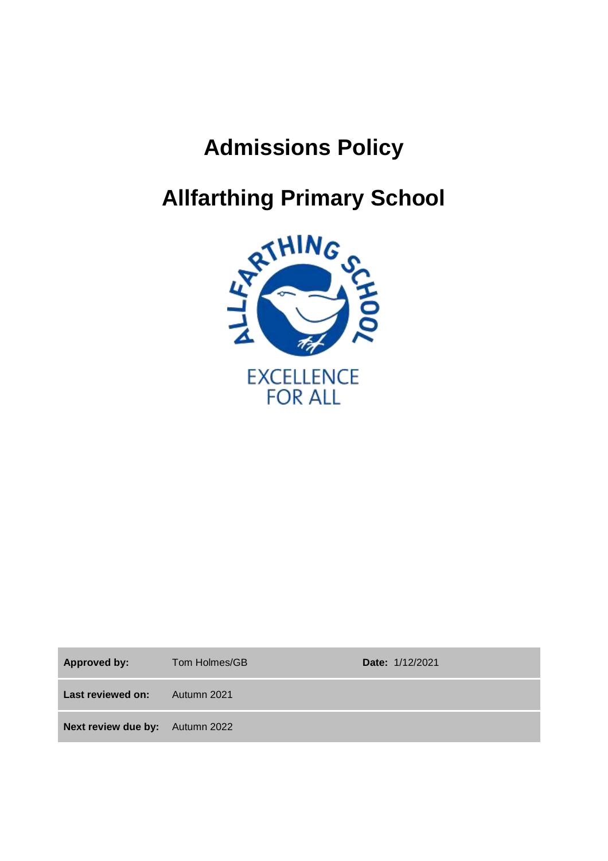# **Admissions Policy**



Approved by: Tom Holmes/GB **Date:** 1/12/2021

Last reviewed on: Autumn 2021

**Next review due by:** Autumn 2022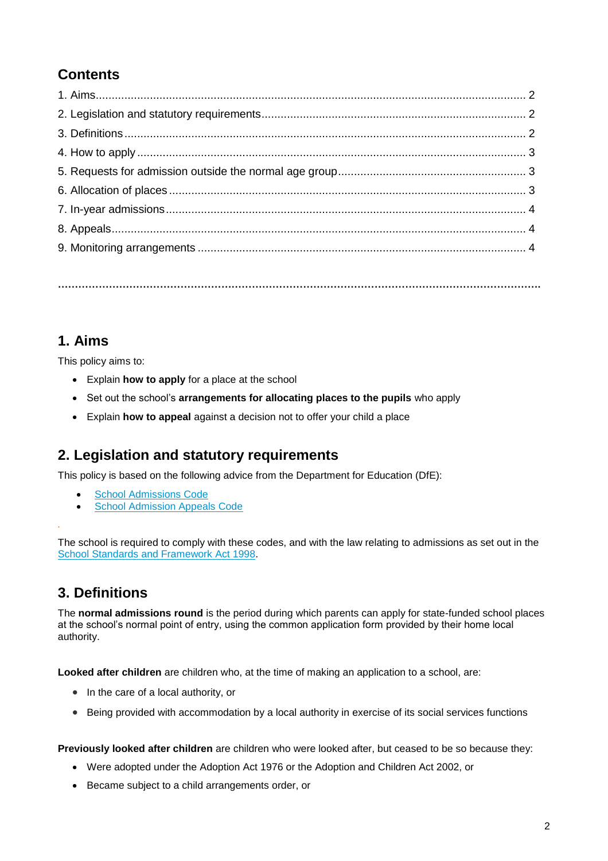# **Contents**

**…………………………………………………………………………………………………………………………….**

**1. Aims** 

This policy aims to:

- Explain **how to apply** for a place at the school
- Set out the school's **arrangements for allocating places to the pupils** who apply
- Explain **how to appeal** against a decision not to offer your child a place

#### **2. Legislation and statutory requirements**

This policy is based on the following advice from the Department for Education (DfE):

- [School Admissions Code](https://www.gov.uk/government/publications/school-admissions-code--2)
- [School Admission Appeals Code](https://www.gov.uk/government/publications/school-admissions-appeals-code)

The school is required to comply with these codes, and with the law relating to admissions as set out in the School [Standards and Framework Act 1998.](http://www.legislation.gov.uk/ukpga/1998/31/contents)

#### **3. Definitions**

*.*

The **normal admissions round** is the period during which parents can apply for state-funded school places at the school's normal point of entry, using the common application form provided by their home local authority.

**Looked after children** are children who, at the time of making an application to a school, are:

- In the care of a local authority, or
- Being provided with accommodation by a local authority in exercise of its social services functions

**Previously looked after children** are children who were looked after, but ceased to be so because they:

- Were adopted under the Adoption Act 1976 or the Adoption and Children Act 2002, or
- Became subject to a child arrangements order, or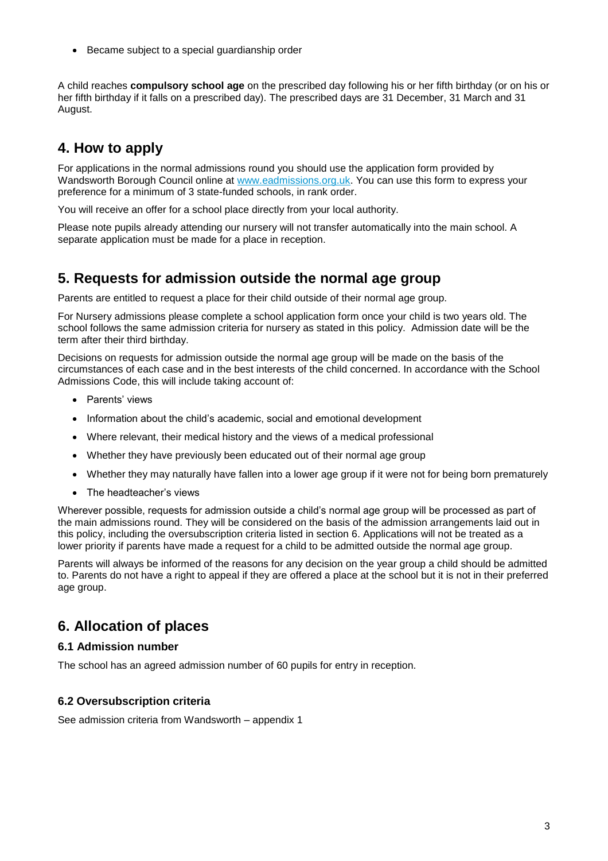Became subject to a special guardianship order

A child reaches **compulsory school age** on the prescribed day following his or her fifth birthday (or on his or her fifth birthday if it falls on a prescribed day). The prescribed days are 31 December, 31 March and 31 August.

### **4. How to apply**

For applications in the normal admissions round you should use the application form provided by Wandsworth Borough Council online at [www.eadmissions.org.uk.](http://www.eadmissions.org.uk/) You can use this form to express your preference for a minimum of 3 state-funded schools, in rank order.

You will receive an offer for a school place directly from your local authority.

Please note pupils already attending our nursery will not transfer automatically into the main school. A separate application must be made for a place in reception.

#### **5. Requests for admission outside the normal age group**

Parents are entitled to request a place for their child outside of their normal age group.

For Nursery admissions please complete a school application form once your child is two years old. The school follows the same admission criteria for nursery as stated in this policy. Admission date will be the term after their third birthday.

Decisions on requests for admission outside the normal age group will be made on the basis of the circumstances of each case and in the best interests of the child concerned. In accordance with the School Admissions Code, this will include taking account of:

- Parents' views
- Information about the child's academic, social and emotional development
- Where relevant, their medical history and the views of a medical professional
- Whether they have previously been educated out of their normal age group
- Whether they may naturally have fallen into a lower age group if it were not for being born prematurely
- The headteacher's views

Wherever possible, requests for admission outside a child's normal age group will be processed as part of the main admissions round. They will be considered on the basis of the admission arrangements laid out in this policy, including the oversubscription criteria listed in section 6. Applications will not be treated as a lower priority if parents have made a request for a child to be admitted outside the normal age group.

Parents will always be informed of the reasons for any decision on the year group a child should be admitted to. Parents do not have a right to appeal if they are offered a place at the school but it is not in their preferred age group.

#### **6. Allocation of places**

#### **6.1 Admission number**

The school has an agreed admission number of 60 pupils for entry in reception.

#### **6.2 Oversubscription criteria**

See admission criteria from Wandsworth – appendix 1